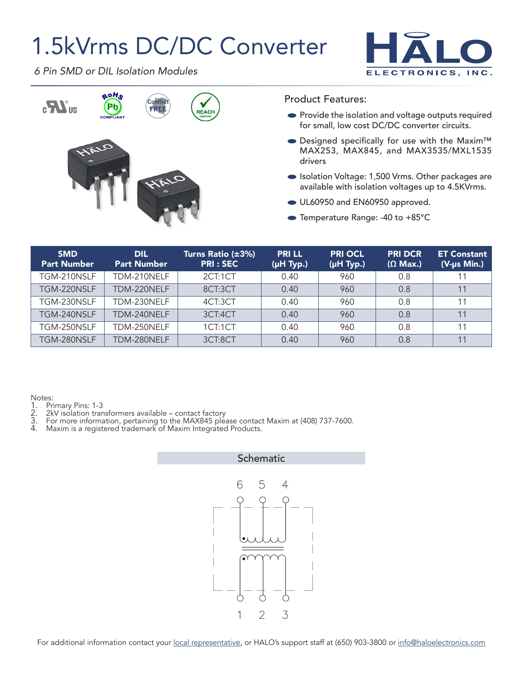## 1.5kVrms DC/DC Converter



*6 Pin SMD or DIL Isolation Modules*



Product Features:

- **•** Provide the isolation and voltage outputs required for small, low cost DC/DC converter circuits.
- Designed specifically for use with the Maxim™ MAX253, MAX845, and MAX3535/MXL1535 drivers
- Isolation Voltage: 1,500 Vrms. Other packages are available with isolation voltages up to 4.5KVrms.
- UL60950 and EN60950 approved.
- Temperature Range: -40 to +85°C

| <b>SMD</b><br><b>Part Number</b> | <b>DIL</b><br><b>Part Number</b> | Turns Ratio (±3%)<br><b>PRI: SEC</b> | <b>PRILL</b><br>$(\mu H$ Typ.) | <b>PRI OCL</b><br>(µH Typ.) | <b>PRI DCR</b><br>$(\Omega$ Max.) | <b>ET Constant</b><br>(V-us Min.) |
|----------------------------------|----------------------------------|--------------------------------------|--------------------------------|-----------------------------|-----------------------------------|-----------------------------------|
| TGM-210NSLF                      | TDM-210NELF                      | 2CT:1CT                              | 0.40                           | 960                         | 0.8                               |                                   |
| TGM-220NSLF                      | TDM-220NELF                      | 8CT:3CT                              | 0.40                           | 960                         | 0.8                               | 11                                |
| TGM-230NSLF                      | TDM-230NELF                      | 4CT:3CT                              | 0.40                           | 960                         | 0.8                               | 11                                |
| TGM-240NSLF                      | TDM-240NELF                      | 3CT:4CT                              | 0.40                           | 960                         | 0.8                               | 11                                |
| TGM-250NSLF                      | TDM-250NELF                      | 1CT:1CT                              | 0.40                           | 960                         | 0.8                               | 11                                |
| TGM-280NSLF                      | TDM-280NELF                      | 3CT:8CT                              | 0.40                           | 960                         | 0.8                               | 11                                |

Notes:<br>1. Pri

- 
- 1. Primary Pins: 1-3<br>2. 2kV isolation trar<br>3. For more informa 2. 2kV isolation transformers available – contact factory
- 3. For more information, pertaining to the MAX845 please contact Maxim at (408) 737-7600.
- 4. Maxim is a registered trademark of Maxim Integrated Products.

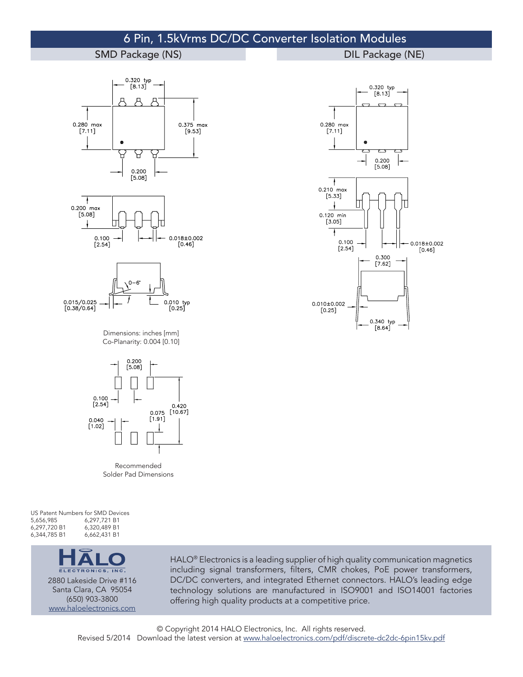## 6 Pin, 1.5kVrms DC/DC Converter Isolation Modules

## SMD Package (NS) and the contract of the DIL Package (NE)









Dimensions: inches [mm] Co-Planarity: 0.004 [0.10]



Recommended Solder Pad Dimensions

US Patent Numbers for SMD Devices<br>5,656,985 6,297,721 B1 5,656,985 6,297,721 B1 6,297,720 B1 6,320,489 B1 6,344,785 B1



2880 Lakeside Drive #116 Santa Clara, CA 95054 (650) 903-3800 [www.haloelectronics.com](http://www.haloelectronics.com)

HALO<sup>®</sup> Electronics is a leading supplier of high quality communication magnetics including signal transformers, filters, CMR chokes, PoE power transformers, DC/DC converters, and integrated Ethernet connectors. HALO's leading edge technology solutions are manufactured in ISO9001 and ISO14001 factories offering high quality products at a competitive price.